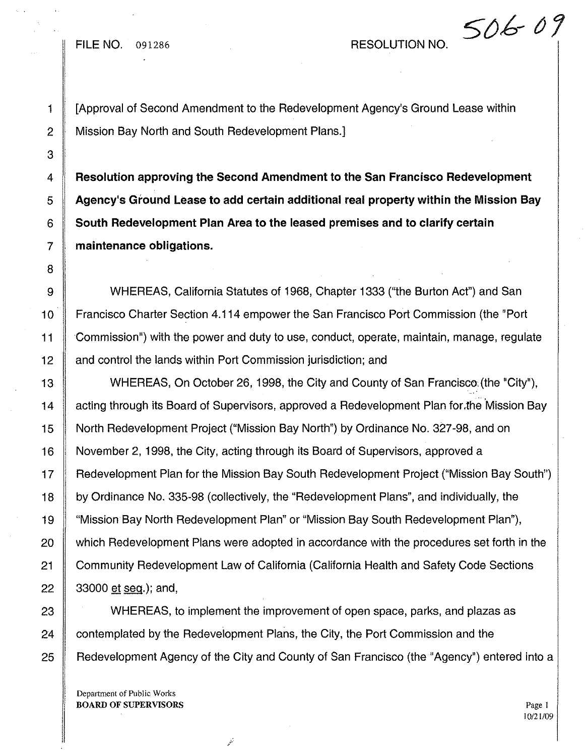FILE NO. 091286 RESOLUTION NO.

50609

1 [Approval of Second Amendment to the Redevelopment Agency's Ground Lease within 2 Mission Bay North and South Redevelopment Plans.]

 **Resolution approving the Second Amendment to the San Francisco Redevelopment Agency's Ground Lease to add certain additional real property within the Mission Bay South Redevelopment Plan Area to the leased premises and to clarify certain maintenance obligations.**

9 WHEREAS, California Statutes of 1968, Chapter 1333 ("the Burton Act") and San 10 Francisco Charter Section 4.114 empower the San Francisco Port Commission (the "Port" 11 Commission") with the power and duty to use, conduct, operate, maintain, manage, regulate 12 and control the lands within Port Commission jurisdiction; and

13 WHEREAS, On October 26, 1998, the City and County of San Francisco: (the "City"), 14 | acting through its Board of Supervisors, approved a Redevelopment Plan for the Mission Bay 15 North Redevelopment Project ("Mission Bay North") by Ordinance No. 327-98, and on 16 November 2, 1998, the City, acting through its Board of Supervisors, approved a 17 Redevelopment Plan for the Mission Bay South Redevelopment Project ("Mission Bay South") 18 by Ordinance No. 335-98 (collectively, the "Redevelopment Plans", and individually, the 19 "Mission Bay North Redevelopment Plan" or "Mission Bay South Redevelopment Plan"), 20 which Redevelopment Plans were adopted in accordance with the procedures set forth in the 21 Community Redevelopment Law of California (California Health and Safety Code Sections 22 33000 et seq.); and,

23 WHEREAS, to implement the improvement of open space, parks, and plazas as  $24$  contemplated by the Redevelopment Plans, the City, the Port Commission and the 25 Redevelopment Agency of the City and County of San Francisco (the "Agency") entered into a

أتهر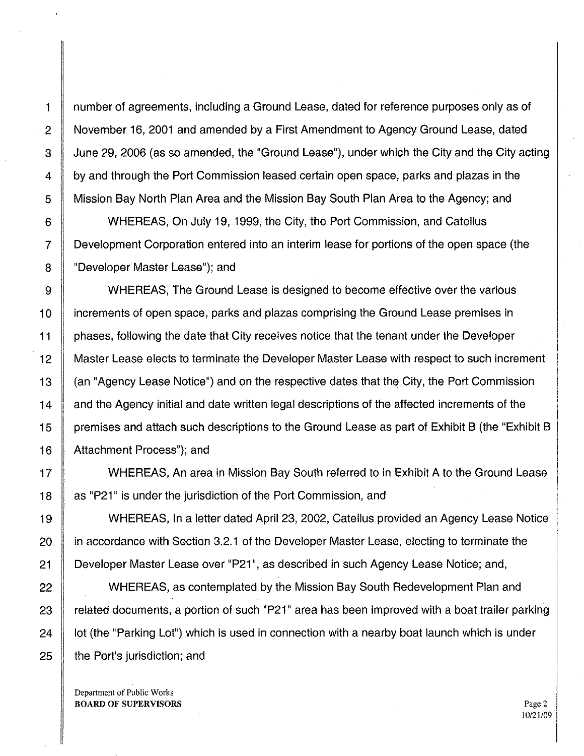1 number of agreements, including a Ground Lease, dated for reference purposes only as of 2 November 16, 2001 and amended by a First Amendment to Agency Ground Lease, dated 3 June 29, 2006 (as so amended, the "Ground Lease"), under which the City and the City acting 4 by and through the Port Commission leased certain open space, parks and plazas in the 5 Mission Bay North Plan Area and the Mission Bay South Plan Area to the Agency; and 6 WHEREAS, On July 19, 1999, the City, the Port Commission, and Catellus

7 DevelopmentCorporation entered into an interim lease for portions of the open space (the 8 | "Developer Master Lease"); and

9 WHEREAS, The Ground Lease is designed to become effective over the various 10 increments of open space, parks and plazas comprising the Ground Lease premises in 11 **phases, following the date that City receives notice that the tenant under the Developer** 12 | Master Lease elects to terminate the Developer Master Lease with respect to such increment 13  $\parallel$  (an "Agency Lease Notice") and on the respective dates that the City, the Port Commission 14 and the Agency initial and date written legal descriptions of the affected increments of the 15 premises and attach such descriptions to the Ground Lease as part of Exhibit B (the "Exhibit B 16 | Attachment Process"); and

17 WHEREAS, An area in Mission Bay South referred to in Exhibit A to the Ground Lease 18 as "P21" is under the jurisdiction of the Port Commission, and

19 WHEREAS, In a letter dated April 23, 2002, Catellus provided an Agency Lease Notice 20 **igns** in accordance with Section 3.2.1 of the Developer Master Lease, electing to terminate the 21 Developer Master Lease over "P21", as described in such Agency Lease Notice; and,

22 WHEREAS, as contemplated by the Mission Bay South Redevelopment Plan and  $\parallel$  related documents, a portion of such "P21" area has been improved with a boat trailer parking lot (the "Parking Lot") which is used in connection with a nearby boat launch which is under  $\parallel$  the Port's jurisdiction; and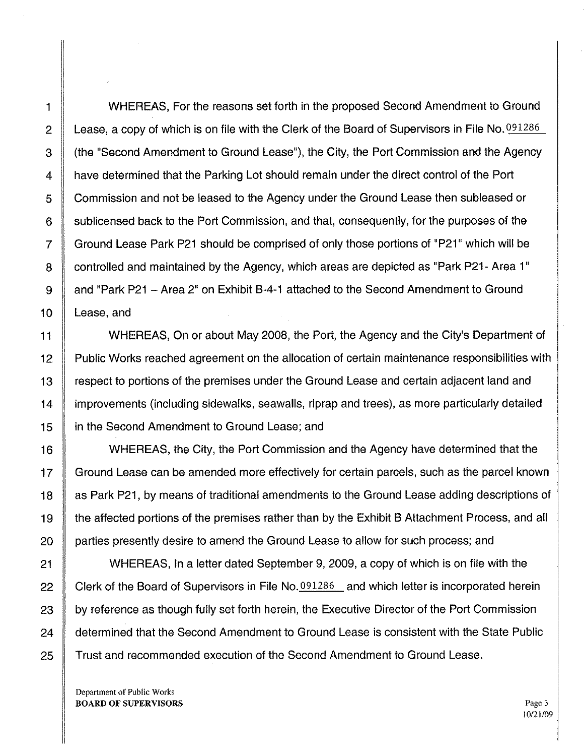1 WHEREAS, For the reasons set forth in the proposed Second Amendment to Ground 2 Lease, a copy of which is on file with the Clerk of the Board of Supervisors in File No.  $0.091286$ 3 | (the "Second Amendment to Ground Lease"), the City, the Port Commission and the Agency 4 have determined that the Parking Lot should remain under the direct control of the Port 5 Commission and not be leased to the Agency under the Ground Lease then subleased or 6 Sublicensed back to the Port Commission, and that, consequently, for the purposes of the 7 Ground Lease Park P21 should be comprised of only those portions of "P21" which will be 8 controlled and maintained by the Agency, which areas are depicted as "Park P21- Area 1" 9 and "Park P21 - Area 2" on Exhibit B-4-1 attached to the Second Amendment to Ground 10 Lease, and

11 WHEREAS, On or about May 2008, the Port, the Agency and the City's Department of 12 Public Works reached agreement on the allocation of certain maintenance responsibilities with 13 respect to portions of the premises under the Ground Lease and certain adjacent land and 14 improvements (including sidewalks, seawalls, riprap and trees), as more particularly detailed 15 in the Second Amendment to Ground Lease; and

16 WHEREAS, the City, the Port Commission and the Agency have determined that the 17 | Ground Lease can be amended more effectively for certain parcels, such as the parcel known 18 As Park P21, by means of traditional amendments to the Ground Lease adding descriptions of 19 the affected portions of the premises rather than by the Exhibit B Attachment Process, and all 20 | parties presently desire to amend the Ground Lease to allow for such process; and

21 WHEREAS, In a letter dated September 9, 2009, a copy of which is on file with the 22 Clerk of the Board of Supervisors in File No. 091286 and which letter is incorporated herein  $23$  by reference as though fully set forth herein, the Executive Director of the Port Commission 24 determined that the Second Amendment to Ground Lease is consistent with the State Public 25 Trust and recommended execution of the Second Amendment to Ground Lease.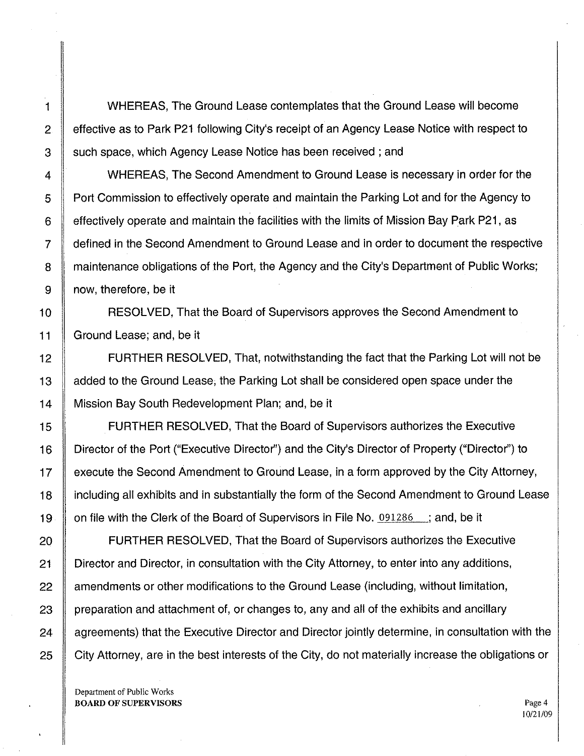1 WHEREAS, The Ground Lease contemplates that the Ground Lease will become 2 effective as to Park P21 following City's receipt of an Agency Lease Notice with respect to 3 Such space, which Agency Lease Notice has been received; and

4 WHEREAS, The Second Amendment to Ground Lease is necessary in order for the 5 **Port Commission to effectively operate and maintain the Parking Lot and for the Agency to** 6 | effectively operate and maintain the facilities with the limits of Mission Bay Park P21, as 7 defined in the Second Amendment to Ground Lease and in order to document the respective 8 **If maintenance obligations of the Port, the Agency and the City's Department of Public Works;** 9 | now, therefore, be it

10 **RESOLVED, That the Board of Supervisors approves the Second Amendment to** 11 Ground Lease; and, be it

12 **FURTHER RESOLVED, That, notwithstanding the fact that the Parking Lot will not be** 13 | added to the Ground Lease, the Parking Lot shall be considered open space under the 14 | Mission Bay South Redevelopment Plan; and, be it

15 FURTHER RESOLVED, That the Board of Supervisors authorizes the Executive 16 Director of the Port ("Executive Director") and the City's Director of Property ("Director") to 17 **execute the Second Amendment to Ground Lease**, in a form approved by the City Attorney, 18 I including all exhibits and in substantially the form of the Second Amendment to Ground Lease 19  $\parallel$  on file with the Clerk of the Board of Supervisors in File No. 091286 ; and, be it

20 **FURTHER RESOLVED, That the Board of Supervisors authorizes the Executive** 21 Clic Director and Director, in consultation with the City Attorney, to enter into any additions, 22 Amendments or other modifications to the Ground Lease (including, without limitation, 23 preparation and attachment of, or changes to, any and all of the exhibits and ancillary  $24$   $\parallel$  agreements) that the Executive Director and Director jointly determine, in consultation with the 25 | City Attorney, are in the best interests of the City, do not materially increase the obligations or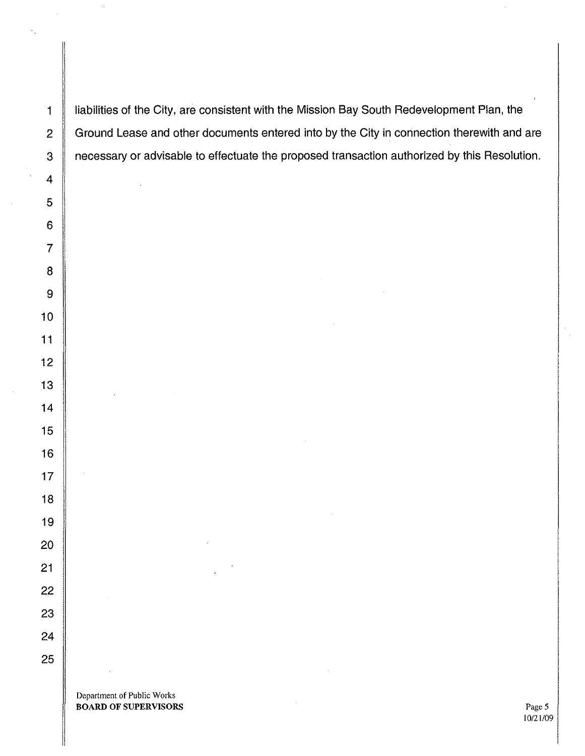1 | liabilities of the City, are consistent with the Mission Bay South Redevelopment Plan, the 2 Ground Lease and other documents entered into by the City in connection therewith and are 3 | necessary or advisable to effectuate the proposed transaction authorized by this Resolution.